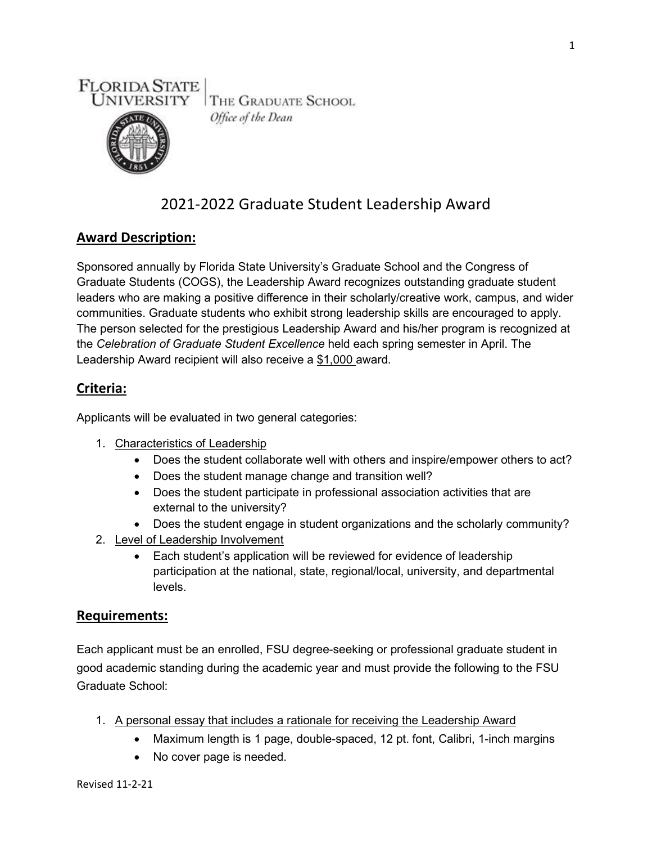



Office of the Dean

# 2021-2022 Graduate Student Leadership Award

# **Award Description:**

Sponsored annually by Florida State University's Graduate School and the Congress of Graduate Students (COGS), the Leadership Award recognizes outstanding graduate student leaders who are making a positive difference in their scholarly/creative work, campus, and wider communities. Graduate students who exhibit strong leadership skills are encouraged to apply. The person selected for the prestigious Leadership Award and his/her program is recognized at the *Celebration of Graduate Student Excellence* held each spring semester in April. The Leadership Award recipient will also receive a \$1,000 award.

## **Criteria:**

Applicants will be evaluated in two general categories:

- 1. Characteristics of Leadership
	- Does the student collaborate well with others and inspire/empower others to act?
	- Does the student manage change and transition well?
	- Does the student participate in professional association activities that are external to the university?
	- Does the student engage in student organizations and the scholarly community?
- 2. Level of Leadership Involvement
	- Each student's application will be reviewed for evidence of leadership participation at the national, state, regional/local, university, and departmental levels.

## **Requirements:**

Each applicant must be an enrolled, FSU degree-seeking or professional graduate student in good academic standing during the academic year and must provide the following to the FSU Graduate School:

- 1. A personal essay that includes a rationale for receiving the Leadership Award
	- Maximum length is 1 page, double-spaced, 12 pt. font, Calibri, 1-inch margins
	- No cover page is needed.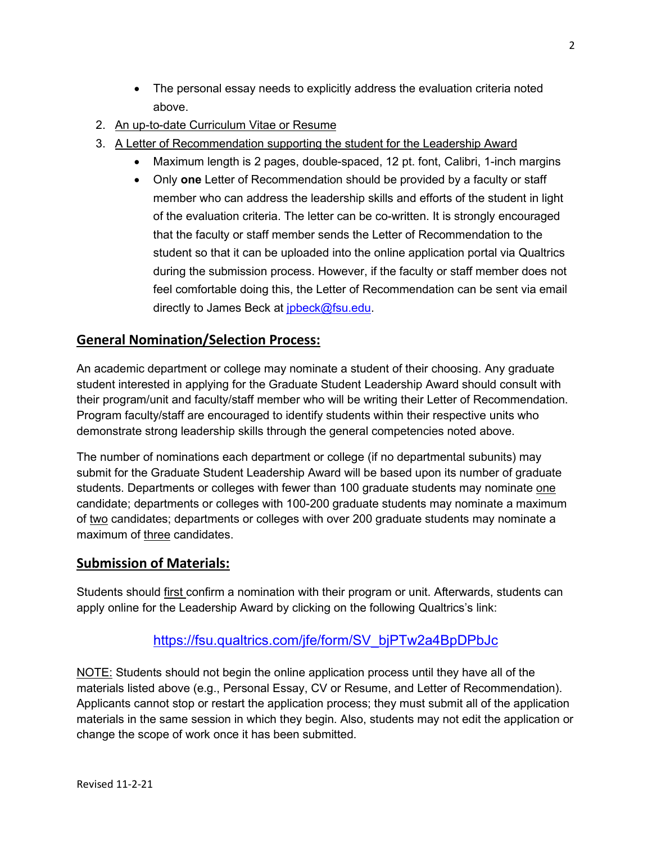- The personal essay needs to explicitly address the evaluation criteria noted above.
- 2. An up-to-date Curriculum Vitae or Resume
- 3. A Letter of Recommendation supporting the student for the Leadership Award
	- Maximum length is 2 pages, double-spaced, 12 pt. font, Calibri, 1-inch margins
		- Only **one** Letter of Recommendation should be provided by a faculty or staff member who can address the leadership skills and efforts of the student in light of the evaluation criteria. The letter can be co-written. It is strongly encouraged that the faculty or staff member sends the Letter of Recommendation to the student so that it can be uploaded into the online application portal via Qualtrics during the submission process. However, if the faculty or staff member does not feel comfortable doing this, the Letter of Recommendation can be sent via email directly to James Beck at [jpbeck@fsu.edu.](mailto:jpbeck@fsu.edu)

# **General Nomination/Selection Process:**

An academic department or college may nominate a student of their choosing. Any graduate student interested in applying for the Graduate Student Leadership Award should consult with their program/unit and faculty/staff member who will be writing their Letter of Recommendation. Program faculty/staff are encouraged to identify students within their respective units who demonstrate strong leadership skills through the general competencies noted above.

The number of nominations each department or college (if no departmental subunits) may submit for the Graduate Student Leadership Award will be based upon its number of graduate students. Departments or colleges with fewer than 100 graduate students may nominate one candidate; departments or colleges with 100-200 graduate students may nominate a maximum of two candidates; departments or colleges with over 200 graduate students may nominate a maximum of three candidates.

#### **Submission of Materials:**

Students should first confirm a nomination with their program or unit. Afterwards, students can apply online for the Leadership Award by clicking on the following Qualtrics's link:

## [https://fsu.qualtrics.com/jfe/form/SV\\_bjPTw2a4BpDPbJc](https://fsu.qualtrics.com/jfe/form/SV_bjPTw2a4BpDPbJc)

NOTE: Students should not begin the online application process until they have all of the materials listed above (e.g., Personal Essay, CV or Resume, and Letter of Recommendation). Applicants cannot stop or restart the application process; they must submit all of the application materials in the same session in which they begin. Also, students may not edit the application or change the scope of work once it has been submitted.